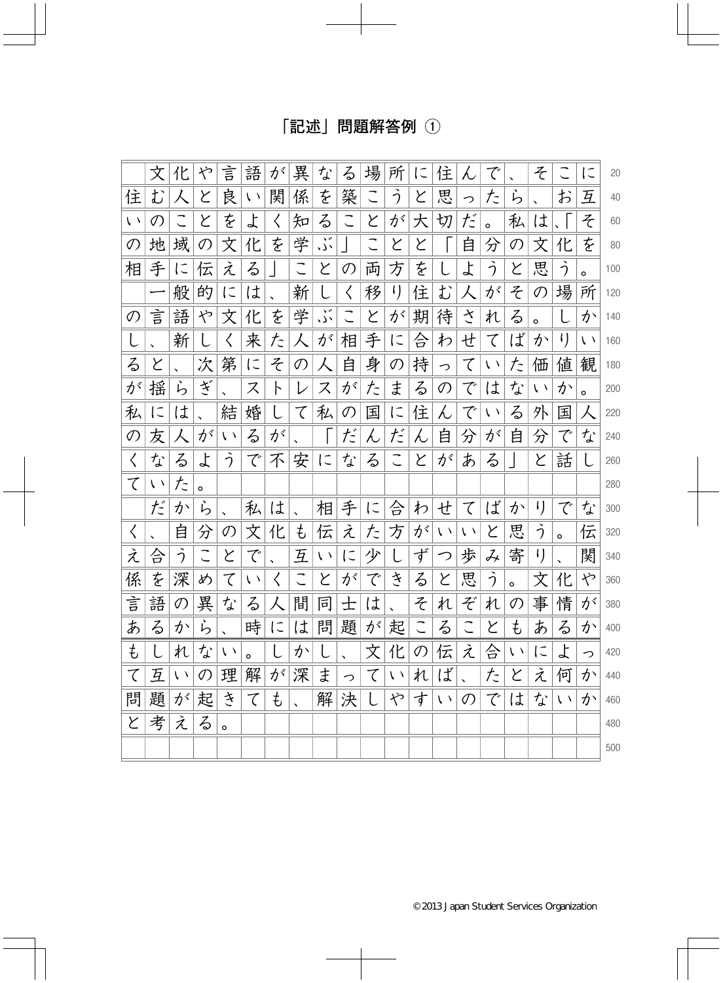## [記述] 問題解答例 ①

|               | 文             | 化          | や       | 言             | 語          | が         | 異                    | な          | る             | 場 | 所              | に | 住           | λ                        | で          |            | そ               |            | に          | 20  |
|---------------|---------------|------------|---------|---------------|------------|-----------|----------------------|------------|---------------|---|----------------|---|-------------|--------------------------|------------|------------|-----------------|------------|------------|-----|
| 住             | む             | 人          | と       | 良             | $\sqrt{2}$ | 関         | 係                    | を          | 築             |   | う              | と | 思           | っ                        | た          | ら          |                 | お          | 互          | 40  |
| $\sqrt{2}$    | $\mathcal{O}$ |            | と       | を             | よ          | $\langle$ | 知                    | る          | こ             | と | が              | 大 | 切           | だ                        | $\circ$    | 私          | は               |            | z          | 60  |
| の             | 地             | 域          | の       | 文             | 化          | を         | 学                    | ود.<br>د ل |               | こ | と              | と |             | 自                        | 分          | の          | 文               | 化          | を          | 80  |
| 相             | 手             | に          | 伝       | え             | る          |           |                      | と          | $\mathcal{O}$ | 両 | 方              | を |             | よ                        | う          | と          | 思               | う          | $\circ$    | 100 |
|               |               | 般          | 的       | に             | は          |           | 新                    |            | $\langle$     | 移 | $\mathfrak{t}$ | 住 | む           | 人                        | が          | そ          | $\mathcal{O}$   | 場          | 所          | 120 |
| $\mathcal{O}$ | 言             | 語          | や       | 文             | 化          | を         | 学                    | ود.<br>در  |               | と | が              | 期 | 待           | さ                        | れ          | る          | $\circ$         |            | か          | 140 |
| l             |               | 新          |         | く             | 来          | た         |                      | が          | 相             | 手 | に              | 合 | わ           | せ                        | て          | ば          | か               | $\iota$ )  | $\sqrt{2}$ | 160 |
| る             | Y             |            | 次       | 第             | $\subset$  | そ         | $\mathcal{O}$        | 人          | 自             | 身 | の              | 持 | っ           | て                        | $\sqrt{2}$ | た          | 価               | 値          | 観          | 180 |
| が             | 揺             | ら          | ざ       |               | ス          | 卜         | レ                    | ス          | が             | た | ま              | る | の           | で                        | は          | な          | $\sqrt{2}$      | か          | $\circ$    | 200 |
| 私             | に             | は          |         | 結             | 婚          |           | て                    | 私          | $\mathcal{O}$ | 国 | に              | 住 | ん           | で                        | $\sqrt{2}$ | る          | 外               | 国          | 人          | 220 |
| の             | 友             |            | が       | $\chi$ $\chi$ | る          | が         |                      |            | だ             | λ | だ              | ん | 自           | 分                        | が          | 自          | 分               | で          | な          | 240 |
| $\langle$     | な             | る          | よ       | う             | で          | 不         | 安                    | に          | な             | る | こ              | と | が           | あ                        | る          |            | と               | 話          |            | 260 |
| て             | $\sqrt{2}$    | た          | $\circ$ |               |            |           |                      |            |               |   |                |   |             |                          |            |            |                 |            |            | 280 |
|               | だ             | か          | ら       |               | 私          | は         |                      | 相          | 手             | に | 슴              | わ | せ           | て                        | ば          | か          | $\iota$ )       | で          | な          | 300 |
| $\langle$     |               | 自          | 分       | の             | 文          | 化         | ŧ                    | 伝          | え             | た | 方              | が | $\chi/\chi$ | い                        | と          | 思          | う               | $\circ$    | 伝          | 320 |
| え             | 슴             | う          |         | と             | で          |           | 互                    | $\sqrt{2}$ | $\subset$     | 少 |                | ず | つ           | 歩                        | み          | 寄          | $\mathfrak{t})$ |            | 関          | 340 |
| 係             | を             | 深          | め       | て             | い          | く         |                      | と          | が             | で | き              | る | と           | 思                        | う          | $\circ$    | 文               | 化          | や          | 360 |
| 言             | 語             | の          | 異       | な             | る          |           | 間                    | 同          | 士             | は |                | そ | れ           | ぞ                        | れ          | の          | 事               | 情          | が          | 380 |
| あ             | る             | か          | ら       |               | 時          | に         | は                    | 問          | 題             | が | 起              | こ | る           | $\overline{\phantom{a}}$ | と          | ŧ          | あ               | る          | か          | 400 |
| ŧ             |               | れ          | な       | $\sqrt{2}$    | o          |           | か                    |            |               | 文 | 化              | の | 伝           | え                        | 合          | $\sqrt{2}$ | に               | よ          | っ          | 420 |
| て             | 互             | $\sqrt{ }$ | の       | 理             | 解          | が         | 深                    | ま          | っ             | て | $\chi/\chi$    | れ | ば           |                          | た          | と          | え               | 何          | か          | 440 |
| 問             | 題             | が          | 起       | き             | て          | ŧ         | $\ddot{\phantom{0}}$ | 解          | 決             |   | や              | す | $\sqrt{2}$  | $\mathcal{O}$            | で          | は          | な               | $\sqrt{2}$ | か          | 460 |
| と             | 考             | え          | る       | $\circ$       |            |           |                      |            |               |   |                |   |             |                          |            |            |                 |            |            | 480 |
|               |               |            |         |               |            |           |                      |            |               |   |                |   |             |                          |            |            |                 |            |            | 500 |